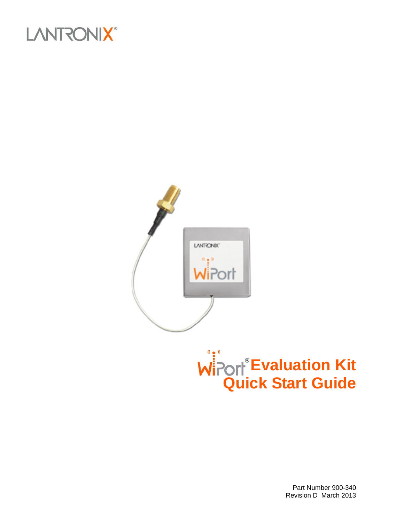





Part Number 900-340 Revision D March 2013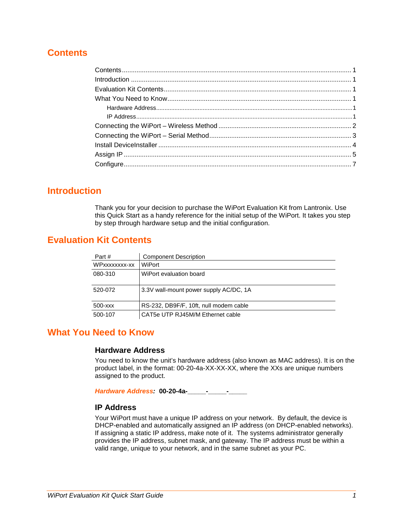## <span id="page-1-0"></span>**Contents**

### <span id="page-1-1"></span>**Introduction**

Thank you for your decision to purchase the WiPort Evaluation Kit from Lantronix. Use this Quick Start as a handy reference for the initial setup of the WiPort. It takes you step by step through hardware setup and the initial configuration.

## <span id="page-1-2"></span>**Evaluation Kit Contents**

| Part #        | <b>Component Description</b>           |
|---------------|----------------------------------------|
| WPxxxxxxxx-xx | WiPort                                 |
| 080-310       | WiPort evaluation board                |
|               |                                        |
| 520-072       | 3.3V wall-mount power supply AC/DC, 1A |
|               |                                        |
| 500-xxx       | RS-232, DB9F/F, 10ft, null modem cable |
| 500-107       | CAT5e UTP RJ45M/M Ethernet cable       |

## <span id="page-1-4"></span><span id="page-1-3"></span>**What You Need to Know**

### **Hardware Address**

You need to know the unit's hardware address (also known as MAC address). It is on the product label, in the format: 00-20-4a-XX-XX-XX, where the XXs are unique numbers assigned to the product.

<span id="page-1-5"></span>*Hardware Address:* **00-20-4a-\_\_\_\_\_-\_\_\_\_\_-\_\_\_\_\_**

### **IP Address**

Your WiPort must have a unique IP address on your network. By default, the device is DHCP-enabled and automatically assigned an IP address (on DHCP-enabled networks). If assigning a static IP address, make note of it. The systems administrator generally provides the IP address, subnet mask, and gateway. The IP address must be within a valid range, unique to your network, and in the same subnet as your PC.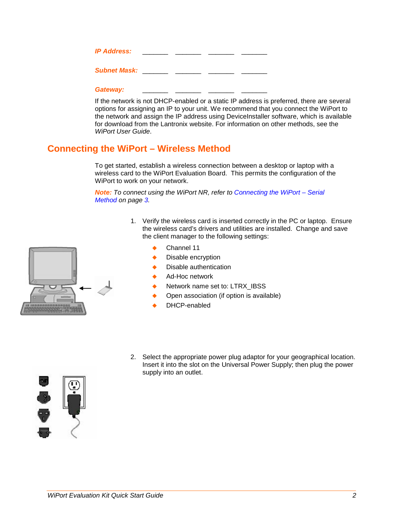| <b>IP Address:</b>  |  |  |
|---------------------|--|--|
| <b>Subnet Mask:</b> |  |  |

#### Gateway:

If the network is not DHCP-enabled or a static IP address is preferred, there are several options for assigning an IP to your unit. We recommend that you connect the WiPort to the network and assign the IP address using DeviceInstaller software, which is available for download from the Lantronix website. For information on other methods, see the *WiPort User Guide*.

## <span id="page-2-0"></span>**Connecting the WiPort – Wireless Method**

To get started, establish a wireless connection between a desktop or laptop with a wireless card to the WiPort Evaluation Board. This permits the configuration of the WiPort to work on your network.

*Note: To connect using the WiPort NR, refer to [Connecting the WiPort –](#page-3-0) Serial [Method](#page-3-0) on page [3.](#page-3-0)*

- 1. Verify the wireless card is inserted correctly in the PC or laptop. Ensure the wireless card's drivers and utilities are installed. Change and save the client manager to the following settings:
	- Channel 11
	- Disable encryption
	- Disable authentication
	- Ad-Hoc network
	- Network name set to: LTRX\_IBSS
	- Open association (if option is available)
	- DHCP-enabled
- 2. Select the appropriate power plug adaptor for your geographical location. Insert it into the slot on the Universal Power Supply; then plug the power supply into an outlet.



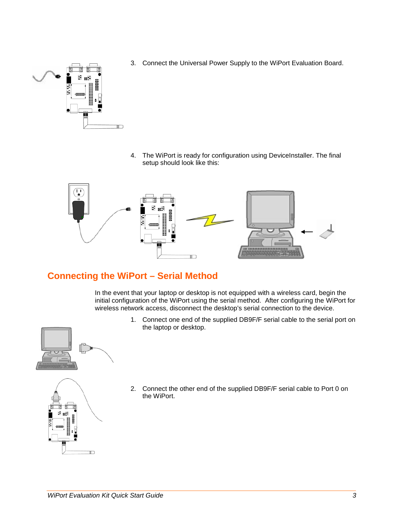- $\blacksquare$
- 3. Connect the Universal Power Supply to the WiPort Evaluation Board.

4. The WiPort is ready for configuration using DeviceInstaller. The final setup should look like this:



# <span id="page-3-0"></span>**Connecting the WiPort – Serial Method**

In the event that your laptop or desktop is not equipped with a wireless card, begin the initial configuration of the WiPort using the serial method. After configuring the WiPort for wireless network access, disconnect the desktop's serial connection to the device.

> 1. Connect one end of the supplied DB9F/F serial cable to the serial port on the laptop or desktop.





2. Connect the other end of the supplied DB9F/F serial cable to Port 0 on the WiPort.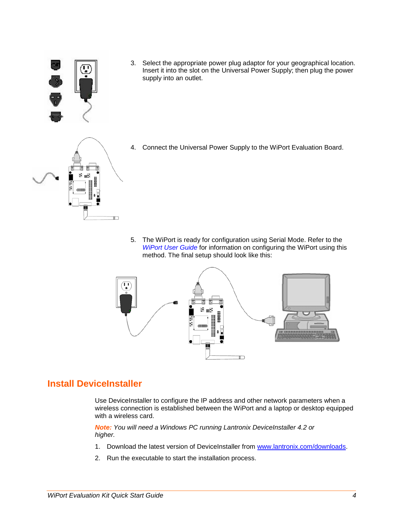

3. Select the appropriate power plug adaptor for your geographical location. Insert it into the slot on the Universal Power Supply; then plug the power supply into an outlet.



4. Connect the Universal Power Supply to the WiPort Evaluation Board.

5. The WiPort is ready for configuration using Serial Mode. Refer to the *WiPort User Guide* for information on configuring the WiPort using this method. The final setup should look like this:



### <span id="page-4-0"></span>**Install DeviceInstaller**

Use DeviceInstaller to configure the IP address and other network parameters when a wireless connection is established between the WiPort and a laptop or desktop equipped with a wireless card.

*Note: You will need a Windows PC running Lantronix DeviceInstaller 4.2 or higher.* 

- 1. Download the latest version of DeviceInstaller from [www.lantronix.com/downloads.](http://www.lantronix.com/downloads)
- 2. Run the executable to start the installation process.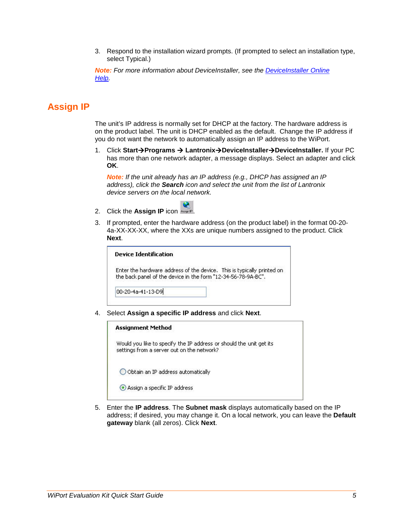3. Respond to the installation wizard prompts. (If prompted to select an installation type, select Typical.)

*Note: For more information about DeviceInstaller, see the [DeviceInstaller Online](http://www.lantronix.com/support/webhelp/device-installer/Default.htm)  [Help.](http://www.lantronix.com/support/webhelp/device-installer/Default.htm)* 

## <span id="page-5-0"></span>**Assign IP**

The unit's IP address is normally set for DHCP at the factory. The hardware address is on the product label. The unit is DHCP enabled as the default. Change the IP address if you do not want the network to automatically assign an IP address to the WiPort.

1. Click **StartPrograms LantronixDeviceInstallerDeviceInstaller.** If your PC has more than one network adapter, a message displays. Select an adapter and click **OK**.

*Note: If the unit already has an IP address (e.g., DHCP has assigned an IP address), click the Search icon and select the unit from the list of Lantronix device servers on the local network.*

- 2. Click the **Assign IP** icon **Assign IP**
- 3. If prompted, enter the hardware address (on the product label) in the format 00-20- 4a-XX-XX-XX, where the XXs are unique numbers assigned to the product. Click **Next**.

| <b>Device Identification</b>                                                                                                            |  |
|-----------------------------------------------------------------------------------------------------------------------------------------|--|
| Enter the hardware address of the device. This is typically printed on<br>the back panel of the device in the form "12-34-56-78-9A-BC". |  |
| 00-20-4a-41-13-D9                                                                                                                       |  |

4. Select **Assign a specific IP address** and click **Next**.

| <b>Assignment Method</b>                                                                                          |
|-------------------------------------------------------------------------------------------------------------------|
| Would you like to specify the IP address or should the unit get its<br>settings from a server out on the network? |
| O Obtain an IP address automatically                                                                              |
| Assign a specific IP address                                                                                      |
|                                                                                                                   |

5. Enter the **IP address**. The **Subnet mask** displays automatically based on the IP address; if desired, you may change it. On a local network, you can leave the **Default gateway** blank (all zeros). Click **Next**.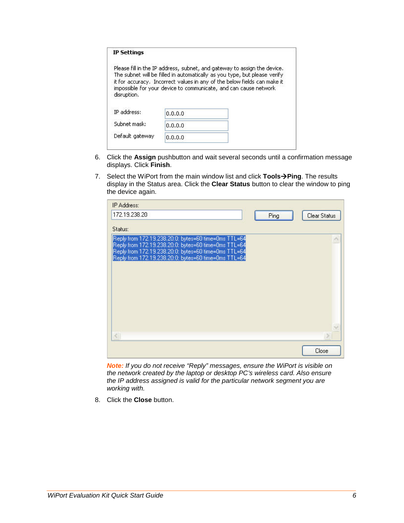| <b>IP Settings</b>         |         |                                                                                                                                                                                                                                                                                                       |
|----------------------------|---------|-------------------------------------------------------------------------------------------------------------------------------------------------------------------------------------------------------------------------------------------------------------------------------------------------------|
|                            |         | Please fill in the IP address, subnet, and gateway to assign the device.<br>The subnet will be filled in automatically as you type, but please verify<br>it for accuracy. Incorrect values in any of the below fields can make it<br>impossible for your device to communicate, and can cause network |
|                            |         |                                                                                                                                                                                                                                                                                                       |
| disruption.<br>IP address: | 0.0.0.0 |                                                                                                                                                                                                                                                                                                       |
| Subnet mask:               | 0.0.0.0 |                                                                                                                                                                                                                                                                                                       |

- 6. Click the **Assign** pushbutton and wait several seconds until a confirmation message displays. Click **Finish**.
- 7. Select the WiPort from the main window list and click **ToolsPing**. The results display in the Status area. Click the **Clear Status** button to clear the window to ping the device again.

| IP Address:                                                                                                                                                                                                                  |      |              |
|------------------------------------------------------------------------------------------------------------------------------------------------------------------------------------------------------------------------------|------|--------------|
| 172.19.238.20                                                                                                                                                                                                                | Ping | Clear Status |
| Status:                                                                                                                                                                                                                      |      |              |
| Reply from 172.19.238.20:0: bytes=60 time=0ms TTL=64<br>Reply from 172.19.238.20:0: bytes=60 time=0ms TTL=64<br>Reply from 172.19.238.20:0: bytes=60 time=0ms TTL=64<br>Reply from 172.19.238.20:0: bytes=60 time=0ms TTL=64 |      |              |
|                                                                                                                                                                                                                              |      |              |
|                                                                                                                                                                                                                              |      | Close        |

*Note: If you do not receive "Reply" messages, ensure the WiPort is visible on the network created by the laptop or desktop PC's wireless card. Also ensure the IP address assigned is valid for the particular network segment you are working with.* 

8. Click the **Close** button.